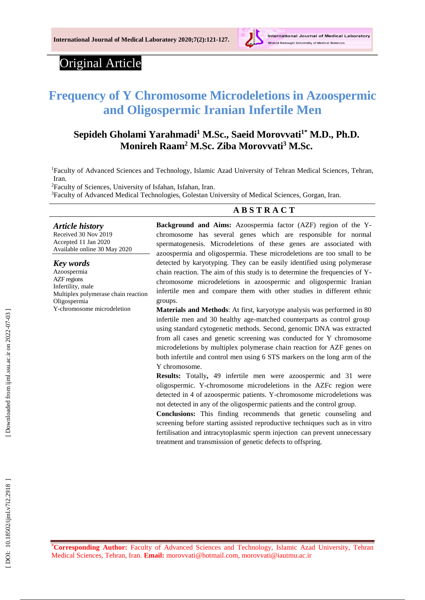

# Original Article

# **Frequency of Y Chromosome Microdeletions in Azoospermic and Oligospermic Iranian Infertile Men**

# **Sepideh Gholami Yarahmadi <sup>1</sup> M.Sc., Saeid Morovvati 1 \* M.D., Ph.D. Monireh Raam <sup>2</sup> M.Sc. Ziba Morovvati <sup>3</sup> M.Sc.**

<sup>1</sup>Faculty of Advanced Sciences and Technology, Islamic Azad University of Tehran Medical Sciences, Tehran, Iran .

<sup>2</sup>Faculty of Sciences, University of Isfahan, Isfahan, Iran .

<sup>3</sup>Faculty of Advanced Medical Technologies, Golestan University of Medical Sciences, Gorgan, Iran.

### **A B S T R A C T**

*Article history* Received 3 0 Nov 201 9 Accepted 11 Jan 2020 Available online 30 May 2020

#### *Key words*

Azoospermia AZF regions Infertility, male Multiplex polymerase chain reaction Oligospermia Y-chromosome microdeletion

**Background and Aims:** Azoospermia factor (AZF) region of the Y chromosome has several genes which are responsible for normal spermatogenesis. Microdeletions of these genes are associated with azoospermia and oligospermia. These microdeletions are too small to be detected by karyotyping. They can be easily identified using polymerase chain reaction. The aim of this study is to determine the frequencies of Ychromosome microdeletions in azoospermic and oligospermic Iranian infertile men and compare them with other studies in different ethnic groups.

**Materials and Methods**: At first, karyotype analysis was performed in 80 infertile men and 30 healthy age -matched counterparts as control group using standard cytogenetic methods. Second, genomic DNA was extracted from all cases and genetic screening was conducted for Y chromosome microdeletions by multiplex polymerase chain reaction for AZF genes on both infertile and control men using 6 STS markers on the long arm of the Y chromosome.

**Results:** Totally **,** 49 infertile men were azoospermic and 31 were oligospermic. Y -chromosome microdeletions in the AZFc region were detected in 4 of azoospermic patients. Y -chromosome microdeletions was not detected in any of the oligospermic patients and the control group.

**Conclusions :** This finding recommends that genetic counseling and screening before starting assisted reproductive techniques such as in vitro fertilisation and intracytoplasmic sperm injection can prevent unnecessary treatment and transmission of genetic defects to offspring.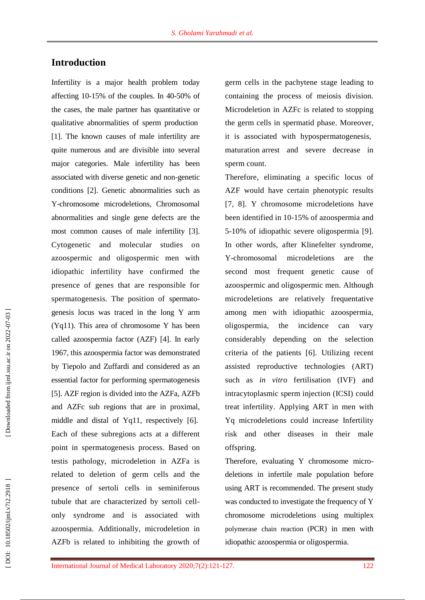# **Introduction**

Infertility is a major health problem today affecting 10 -15% of the couples. In 40 -50% of the cases, the male partner has quantitative or qualitative abnormalities of sperm production [1]. The known causes of male infertility are quite numerous and are divisible into several major categories. Male infertility has been associated with diverse genetic and non -genetic conditions [2]. Genetic abnormalities such as Y-chromosome microdeletions, Chromosomal abnormalities and single gene defects are the most common causes of male infertility [3]. Cytogenetic and molecular studies on azoospermic and oligospermic men with idiopathic infertility have confirmed the presence of genes that are responsible for spermatogenesis. The position of spermato genesis locus was traced in the long Y arm (Yq11). This area of chromosome Y has been called azoospermia factor (AZF) [4]. In early 1967, this azoospermia factor was demonstrated by Tiepolo and Zuffardi and considered as an essential factor for performing spermatogenesis [5]. AZF region is divided into the AZFa, AZFb and AZFc sub regions that are in proximal, middle and distal of Yq11, respectively [6]. Each of these subregions acts at a different point in spermatogenesis process. Base d on testis pathology, microdeletion in AZFa is related to deletion of germ cells and the presence of sertoli cells in seminiferous tubule that are characterized by sertoli cell only syndrome and is associated with azoospermia. Additionally, microdeletion in AZFb is related to inhibiting the growth of

germ cells in the pachytene stage leading to containing the process of meiosis division. Microdeletion in AZFc is related to stopping the germ cells in spermatid phase. Moreover, it is associated with hypospermatogenesis, maturation arrest and severe decrease in sperm count.

Therefore, eliminating a specific locus of AZF would have certain phenotypic results [7, 8]. Y chromosome microdeletions have been identified in 10 -15% of azoospermia and 5 -10% of idiopathic severe oligospermia [9]. In other words, after Klinefelter syndrome, Y-chromosomal microdeletions are the second most frequent genetic cause of azoospermic and oligospermic men. Although microdeletions are relatively frequentative among men with idiopathic azoospermia, oligospermia, the incidence can vary considerably depending on the selection criteria of the patients [6]. Utilizing recent assisted reproductive technologies (ART) such as *in vitro* fertilisation (IVF) and intracytoplasmic sperm injection (ICSI) could treat infertility. Applying ART in men with Yq microdeletions could increase Infertility risk and other diseases in their male offspring.

Therefore, evaluating Y chromosome micro deletions in infertile male population before using ART is recommended. The present study was conducted to investigate the frequency of Y chromosome microdeletions using multiplex polymerase chain reaction (PCR ) in men with idiopathic azoospermia or oligospermia.

Downloaded from ijml.ssu.ac.ir on 2022-07-03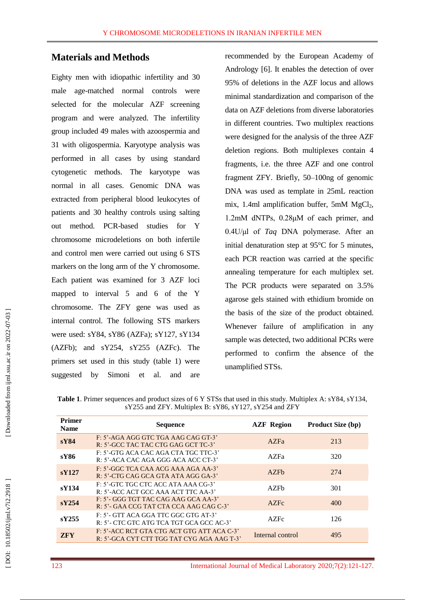# **Materials and Methods**

Eighty men with idiopathic infertility and 30 male age -matched normal controls were selected for the molecular AZF screening program and were analyzed. The infertility group included 49 males with azoospermia and 31 with oligospermia. Karyotype analysis was performed in all cases by using standard cytogenetic methods. The karyotype was normal in all cases. Genomic DNA was extracted from peripheral blood leukocytes of patients and 30 healthy controls using salting out method. PCR -based studies for Y chromosome microdeletions on both infertile and control men were carried out using 6 STS markers on the long arm of the Y chromosome. Each patient was examined for 3 AZF loci mapped to interval 5 and 6 of the Y chromosome. The ZFY gene was used as internal control. The following STS markers were used: sY84, sY86 (AZFa); sY127, sY134 (AZFb); and sY254, sY255 (AZFc). The primers set used in this study (table 1) were suggested by Simoni et al. and are

recommended by the European Academy of Andrology [6]. It enables the detection of over 95% of deletions in the AZF locus and allows minimal standardization and comparison of the data on AZF deletions from diverse laboratories in different countries. Two multiplex reactions were designed for the analysis of the three AZF deletion regions. Both multiplexes contain 4 fragments, i.e. the three AZF and one control fragment ZFY. Briefly, 50 –100ng of genomic DNA was used as template in 25mL reaction mix, 1.4ml amplification buffer, 5mM MgCl 2, 1.2mM dNTPs, 0.28μM of each primer, and 0.4U/μl of *Taq* DNA polymerase. After an initial denaturation step at 95°C for 5 minutes, each PCR reaction was carried at the specific annealing temperature for each multiplex set. The PCR products were separated on 3.5% agarose gels stained with ethidium bromide on the basis of the size of the product obtained. Whenever failure of amplification in any sample was detected, two additional PCRs were performed to confirm the absence of the unamplified STSs.

| <b>Table 1.</b> Primer sequences and product sizes of 6 Y STSs that used in this study. Multiplex A: sY84, sY134, |
|-------------------------------------------------------------------------------------------------------------------|
| sY255 and ZFY. Multiplex B: sY86, sY127, sY254 and ZFY                                                            |

| <b>Primer</b><br><b>Name</b> | <b>Sequence</b>                                                                          | <b>AZF</b> Region | <b>Product Size (bp)</b> |
|------------------------------|------------------------------------------------------------------------------------------|-------------------|--------------------------|
| sY84                         | F: 5'-AGA AGG GTC TGA AAG CAG GT-3'<br>R: 5'-GCC TAC TAC CTG GAG GCT TC-3'               | AZFa              | 213                      |
| sY86                         | F: 5'-GTG ACA CAC AGA CTA TGC TTC-3'<br>R: 5'-ACA CAC AGA GGG ACA ACC CT-3'              | AZFa              | 320                      |
| sY127                        | $F: 5'$ -GGC TCA CAA ACG AAA AGA AA-3'<br>$R: 5'$ -CTG CAG GCA GTA ATA AGG GA-3'         | AZFh              | 274                      |
| sY134                        | F: 5'-GTC TGC CTC ACC ATA AAA CG-3'<br>R: 5'-ACC ACT GCC AAA ACT TTC AA-3'               | AZFh              | 301                      |
| sY254                        | F: 5'- GGG TGT TAC CAG AAG GCA AA-3'<br>R: 5'- GAA CCG TAT CTA CCA AAG CAG C-3'          | AZFe              | 400                      |
| sV255                        | $F: 5'$ - GTT ACA GGA TTC GGC GTG AT-3'<br>R: 5'- CTC GTC ATG TCA TGT GCA GCC AC-3'      | AZFe              | 126                      |
| <b>ZFY</b>                   | F: 5'-ACC RCT GTA CTG ACT GTG ATT ACA C-3'<br>R: 5'-GCA CYT CTT TGG TAT CYG AGA AAG T-3' | Internal control  | 495                      |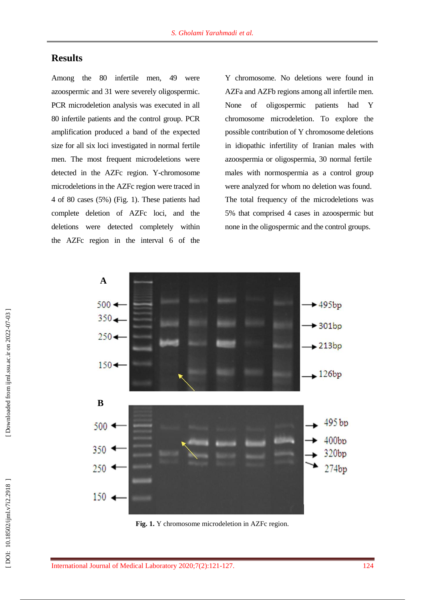# **Results**

Among the 80 infertile men, 49 were azoospermic and 31 were severely oligospermic. PCR microdeletion analysis was executed in all 80 infertile patients and the control group. PCR amplification produced a band of the expected size for all six loci investigated in normal fertile men. The most frequent microdeletions were detected in the AZFc region. Y -chromosome microdeletions in the AZFc region were traced in 4 of 80 cases (5%) (Fig. 1). These patients had complete deletion of AZFc loci, and the deletions were detected completely within the AZFc region in the interval 6 of the

Y chromosome. No deletions were found in AZFa and AZFb regions among all infertile men. None of oligospermic patients had Y chromosome microdeletion. To explore the possible contribution of Y chromosome deletions in idiopathic infertility of Iranian males with azoospermia or oligospermia, 30 normal fertile male s with normospermia as a control group were analyzed for whom no deletion was found . The total frequency of the microdeletions was 5% that comprised 4 cases in azoospermic but none in the oligospermic and the control group s .



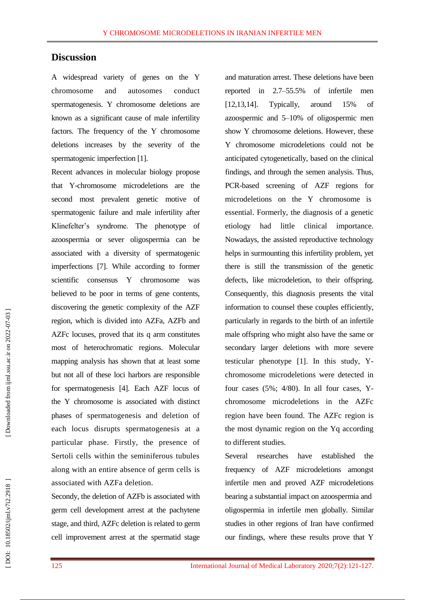# **Discussion**

A widespread variety of genes on the Y chromosome and autosomes conduct spermatogenesis. Y chromosome deletions are known as a significant cause of male infertility factors. The frequency of the Y chromosome deletions increases by the severity of the spermatogenic imperfection [1].

Recent advances in molecular biology propose that Y -chromosome microdeletions are the second most prevalent genetic motive of spermatogenic failure and male infertility after Klinefelter's syndrome. The phenotype of azoospermia or sever oligospermia can be associated with a diversity of spermatogenic imperfections [7]. While according to former scientific consensus Y chromosome was believed to be poor in terms of gene contents, discovering the genetic complexity of the AZF region, which is divided into AZFa, AZFb and AZFc locuses, proved that its q arm constitutes most of heterochromatic regions. Molecular mapping analysis has shown that at least some but not all of these loci harbors are responsible for spermatogenesis [4]. Each AZF locus of the Y chromosome is associated with distinct phases of spermatogenesis and deletion of each locus disrupts spermatogenesis at a particular phase. Firstly, the presence of Sertoli cells within the seminiferous tubules along with an entire absence of germ cells is associated with AZFa deletion.

Secondy, the deletion of AZFb is associated with germ cell development arrest at the pachytene stage, and third , AZFc deletion is related to germ cell improvement arrest at the spermatid stage

and maturation arrest. These deletions have been reported in 2.7 –55.5% of infertile men [12,13,14]. Typically, around 15% of azoospermic and 5 –10% of oligospermic men show Y chromosome deletions. However, these Y chromosome microdeletions could not be anticipated cytogenetically, based on the clinical findings, and through the semen analysis. Thus, PCR -based screening of AZF regions for microdeletions on the Y chromosome is essential. Formerly, the diagnosis of a genetic etiology had little clinical importance . Nowadays, the assisted reproductive technology helps in surmounting this infertility problem, yet there is still the transmission of the genetic defects, like microdeletion, to their offspring . Consequently, this diagnosis presents the vital information to counsel these couples efficiently, particularly in regard s to the birth of an infertile male offspring who might also have the same or secondary larger deletions with more severe testicular phenotype [1]. In this study, Y chromosome microdeletions were detected in four cases  $(5\%; 4/80)$ . In all four cases, Ychromosome microdeletions in the AZFc region have been found. The AZFc region is the most dynamic region on the Yq according to different studies.

Several researches have established the frequency of AZF microdeletions amongst infertile men and proved AZF microdeletions bearing a substantial impact on azoospermia and oligospermia in infertile men globally. Similar studies in other regions of Iran have confirmed our findings, where these results prove that Y

DOI: 10.18502/ijml.v7i2.2918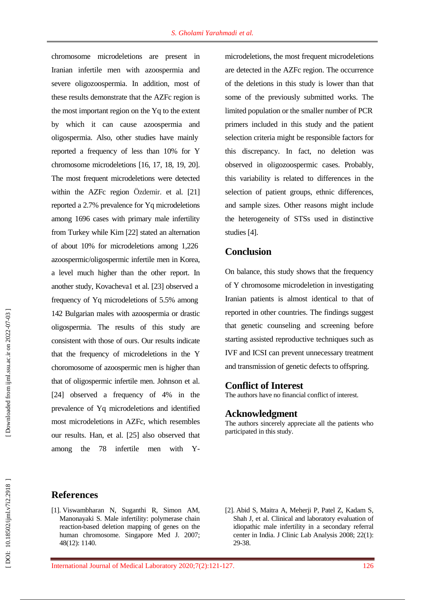chromosome microdeletions are present in Iranian infertile men with azoospermia and severe oligozoospermia. In addition, most of these results demonstrate that the AZFc region is the most important region on the Yq to the extent by which it can cause azoospermia and oligospermia. Also, other studies have mainly reported a frequency of less than 10% for Y chromosome microdeletions [16, 17, 18, 19, 20]. The most frequent microdeletions were detected within the AZFc region Özdemir . et al. [21] reported a 2.7% prevalence for Yq microdeletions among 1696 cases with primary male infertility from Turkey while Kim [22] stated an alternation of about 10% for microdeletions among 1,226 azoospermic/oligospermic infertile men in Korea, a level much higher than the other report. In another study, Kovacheva1 et al. [23] observed a frequency of Yq microdeletions of 5.5% among 142 Bulgarian males with azoospermia or drastic oligospermia. The results of this study are consistent with those of ours. Our results indicate that the frequency of microdeletions in the Y choromosome of azoospermic men is higher than that of oligospermic infertile men. Johnson et al. [24] observed a frequency of 4% in the prevalence of Yq microdeletions and identified most microdeletions in AZFc, which resembles our results. Han, et al. [25] also observed that among the 78 infertile men with  $-$  Y<sub>-</sub>

microdeletions, the most frequent microdeletions are detected in the AZFc region. The occurrence of the deletions in this study is lower than that some of the previously submitted works . The limited population or the smaller number of PCR primers included in this study and the patient selection criteria might be responsible factors for this discrepancy. In fact, no deletion was observed in oligozoospermic cases. Probably, this variability is related to differences in the selection of patient groups, ethnic differences, and sample size s . Other reasons might include the heterogeneity of STSs used in distinctive studies [4].

## **Conclusion**

On balance, this study shows that the frequency of Y chromosome microdeletion in investigating Iranian patients is almost identical to that of reported in other countries. The findings suggest that genetic counseling and screening before starting assisted reproductive techniques such as IVF and ICSI can prevent unnecessary treatment and transmission of genetic defects to offspring.

## **Conflict of Interest**

The authors have no financial conflict of interest.

#### **Acknowledgment**

The authors sincerely appreciate all the patients who participated in this study.

- [1]. Viswambharan N, Suganthi R, Simon AM, Manonayaki S. Male infertility: polymerase chain reaction - based deletion mapping of genes on the human chromosome. Singapore Med J. 2007; 48(12): 1140.
- [ 2]. Abid S, Maitra A, Meherji P, Patel Z, Kadam S, Shah J, et al. Clinical and laboratory evaluation of idiopathic male infertility in a secondary referral center in India. J Clinic Lab Analysis 2008; 22(1): 29 -38.